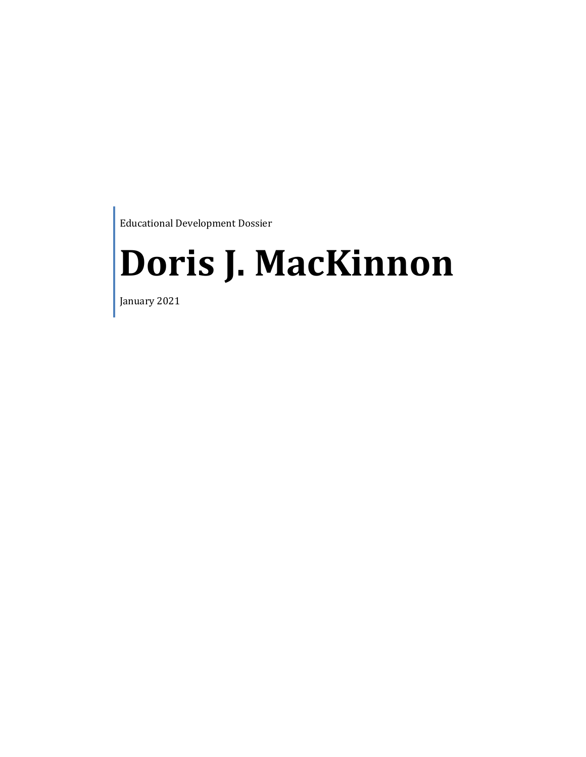Educational Development Dossier

# **Doris J. MacKinnon**

January 2021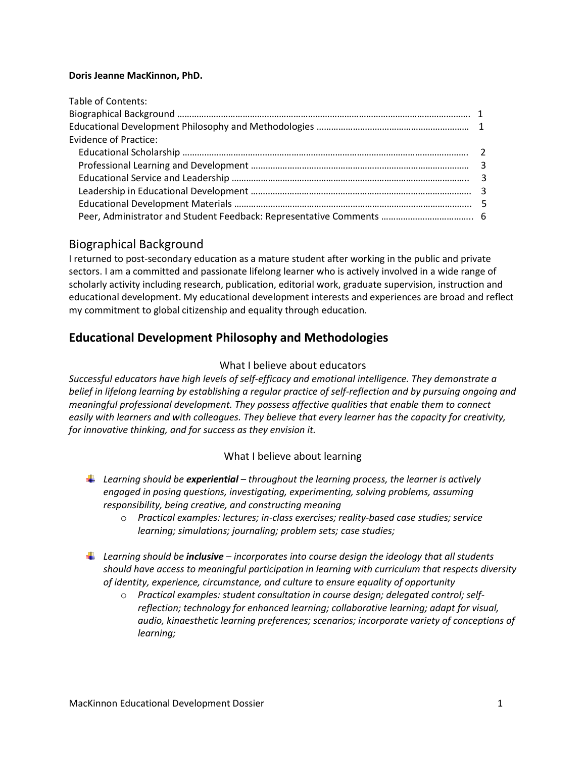## **Doris Jeanne MacKinnon, PhD.**

| <b>Table of Contents:</b>    |  |
|------------------------------|--|
|                              |  |
|                              |  |
| <b>Evidence of Practice:</b> |  |
|                              |  |
|                              |  |
|                              |  |
|                              |  |
|                              |  |
|                              |  |

# Biographical Background

I returned to post-secondary education as a mature student after working in the public and private sectors. I am a committed and passionate lifelong learner who is actively involved in a wide range of scholarly activity including research, publication, editorial work, graduate supervision, instruction and educational development. My educational development interests and experiences are broad and reflect my commitment to global citizenship and equality through education.

# **Educational Development Philosophy and Methodologies**

## What I believe about educators

*Successful educators have high levels of self-efficacy and emotional intelligence. They demonstrate a belief in lifelong learning by establishing a regular practice of self-reflection and by pursuing ongoing and meaningful professional development. They possess affective qualities that enable them to connect easily with learners and with colleagues. They believe that every learner has the capacity for creativity, for innovative thinking, and for success as they envision it.* 

# What I believe about learning

- *Learning should be experiential – throughout the learning process, the learner is actively engaged in posing questions, investigating, experimenting, solving problems, assuming responsibility, being creative, and constructing meaning*
	- o *Practical examples: lectures; in-class exercises; reality-based case studies; service learning; simulations; journaling; problem sets; case studies;*
- *Learning should be inclusive – incorporates into course design the ideology that all students should have access to meaningful participation in learning with curriculum that respects diversity of identity, experience, circumstance, and culture to ensure equality of opportunity* 
	- o *Practical examples: student consultation in course design; delegated control; selfreflection; technology for enhanced learning; collaborative learning; adapt for visual, audio, kinaesthetic learning preferences; scenarios; incorporate variety of conceptions of learning;*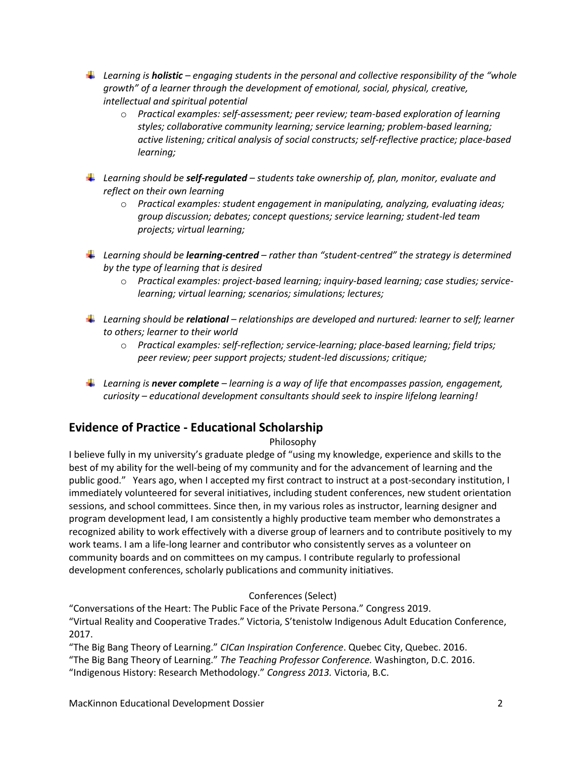- *Learning is holistic – engaging students in the personal and collective responsibility of the "whole growth" of a learner through the development of emotional, social, physical, creative, intellectual and spiritual potential*
	- o *Practical examples: self-assessment; peer review; team-based exploration of learning styles; collaborative community learning; service learning; problem-based learning; active listening; critical analysis of social constructs; self-reflective practice; place-based learning;*
- *Learning should be self-regulated – students take ownership of, plan, monitor, evaluate and reflect on their own learning*
	- o *Practical examples: student engagement in manipulating, analyzing, evaluating ideas; group discussion; debates; concept questions; service learning; student-led team projects; virtual learning;*
- *Learning should be learning-centred – rather than "student-centred" the strategy is determined by the type of learning that is desired* 
	- o *Practical examples: project-based learning; inquiry-based learning; case studies; servicelearning; virtual learning; scenarios; simulations; lectures;*
- *Learning should be relational – relationships are developed and nurtured: learner to self; learner to others; learner to their world*
	- o *Practical examples: self-reflection; service-learning; place-based learning; field trips; peer review; peer support projects; student-led discussions; critique;*
- *Learning is never complete – learning is a way of life that encompasses passion, engagement, curiosity – educational development consultants should seek to inspire lifelong learning!*

# **Evidence of Practice - Educational Scholarship**

# Philosophy

I believe fully in my university's graduate pledge of "using my knowledge, experience and skills to the best of my ability for the well-being of my community and for the advancement of learning and the public good." Years ago, when I accepted my first contract to instruct at a post-secondary institution, I immediately volunteered for several initiatives, including student conferences, new student orientation sessions, and school committees. Since then, in my various roles as instructor, learning designer and program development lead, I am consistently a highly productive team member who demonstrates a recognized ability to work effectively with a diverse group of learners and to contribute positively to my work teams. I am a life-long learner and contributor who consistently serves as a volunteer on community boards and on committees on my campus. I contribute regularly to professional development conferences, scholarly publications and community initiatives.

## Conferences (Select)

"Conversations of the Heart: The Public Face of the Private Persona." Congress 2019. "Virtual Reality and Cooperative Trades." Victoria, S'tenistolw Indigenous Adult Education Conference, 2017.

"The Big Bang Theory of Learning." *CICan Inspiration Conference*. Quebec City, Quebec. 2016. "The Big Bang Theory of Learning." *The Teaching Professor Conference.* Washington, D.C. 2016. "Indigenous History: Research Methodology." *Congress 2013.* Victoria, B.C.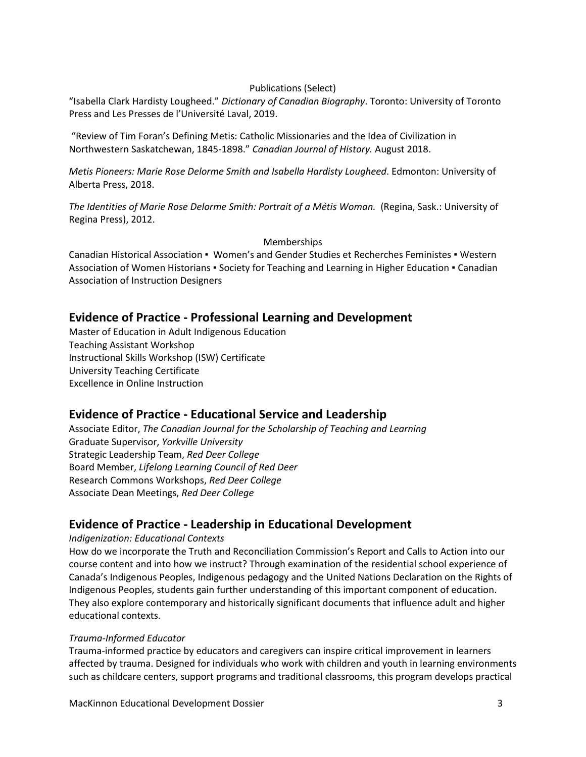## Publications (Select)

"Isabella Clark Hardisty Lougheed." *Dictionary of Canadian Biography*. Toronto: University of Toronto Press and Les Presses de l'Université Laval, 2019.

"Review of Tim Foran's Defining Metis: Catholic Missionaries and the Idea of Civilization in Northwestern Saskatchewan, 1845-1898." *Canadian Journal of History.* August 2018.

*Metis Pioneers: Marie Rose Delorme Smith and Isabella Hardisty Lougheed*. Edmonton: University of Alberta Press, 2018.

The Identities of Marie Rose Delorme Smith: Portrait of a Métis Woman. (Regina, Sask.: University of Regina Press), 2012.

## Memberships

Canadian Historical Association . Women's and Gender Studies et Recherches Feministes . Western Association of Women Historians . Society for Teaching and Learning in Higher Education . Canadian Association of Instruction Designers

# **Evidence of Practice - Professional Learning and Development**

Master of Education in Adult Indigenous Education Teaching Assistant Workshop Instructional Skills Workshop (ISW) Certificate University Teaching Certificate Excellence in Online Instruction

# **Evidence of Practice - Educational Service and Leadership**

Associate Editor, *The Canadian Journal for the Scholarship of Teaching and Learning* Graduate Supervisor, *Yorkville University* Strategic Leadership Team, *Red Deer College* Board Member, *Lifelong Learning Council of Red Deer* Research Commons Workshops, *Red Deer College* Associate Dean Meetings, *Red Deer College*

# **Evidence of Practice - Leadership in Educational Development**

## *Indigenization: Educational Contexts*

How do we incorporate the Truth and Reconciliation Commission's Report and Calls to Action into our course content and into how we instruct? Through examination of the residential school experience of Canada's Indigenous Peoples, Indigenous pedagogy and the United Nations Declaration on the Rights of Indigenous Peoples, students gain further understanding of this important component of education. They also explore contemporary and historically significant documents that influence adult and higher educational contexts.

## *Trauma-Informed Educator*

Trauma-informed practice by educators and caregivers can inspire critical improvement in learners affected by trauma. Designed for individuals who work with children and youth in learning environments such as childcare centers, support programs and traditional classrooms, this program develops practical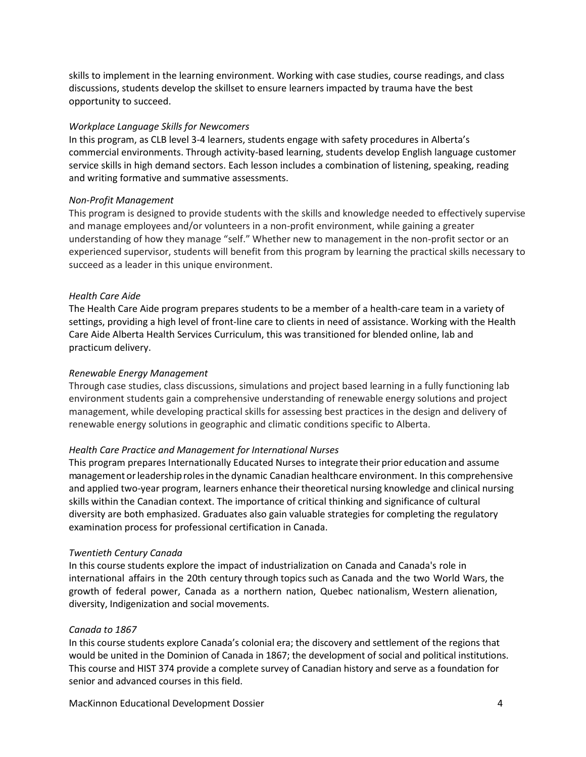skills to implement in the learning environment. Working with case studies, course readings, and class discussions, students develop the skillset to ensure learners impacted by trauma have the best opportunity to succeed.

### *Workplace Language Skills for Newcomers*

In this program, as CLB level 3-4 learners, students engage with safety procedures in Alberta's commercial environments. Through activity-based learning, students develop English language customer service skills in high demand sectors. Each lesson includes a combination of listening, speaking, reading and writing formative and summative assessments.

## *Non-Profit Management*

This program is designed to provide students with the skills and knowledge needed to effectively supervise and manage employees and/or volunteers in a non-profit environment, while gaining a greater understanding of how they manage "self." Whether new to management in the non-profit sector or an experienced supervisor, students will benefit from this program by learning the practical skills necessary to succeed as a leader in this unique environment.

## *Health Care Aide*

The Health Care Aide program prepares students to be a member of a health-care team in a variety of settings, providing a high level of front-line care to clients in need of assistance. Working with the Health Care Aide Alberta Health Services Curriculum, this was transitioned for blended online, lab and practicum delivery.

## *Renewable Energy Management*

Through case studies, class discussions, simulations and project based learning in a fully functioning lab environment students gain a comprehensive understanding of renewable energy solutions and project management, while developing practical skills for assessing best practices in the design and delivery of renewable energy solutions in geographic and climatic conditions specific to Alberta.

## *Health Care Practice and Management for International Nurses*

This program prepares Internationally Educated Nurses to integrate their prior education and assume management orleadershiprolesin the dynamic Canadian healthcare environment. In this comprehensive and applied two-year program, learners enhance their theoretical nursing knowledge and clinical nursing skills within the Canadian context. The importance of critical thinking and significance of cultural diversity are both emphasized. Graduates also gain valuable strategies for completing the regulatory examination process for professional certification in Canada.

## *Twentieth Century Canada*

In this course students explore the impact of industrialization on Canada and Canada's role in international affairs in the 20th century through topics such as Canada and the two World Wars, the growth of federal power, Canada as a northern nation, Quebec nationalism, Western alienation, diversity, Indigenization and social movements.

## *Canada to 1867*

In this course students explore Canada's colonial era; the discovery and settlement of the regions that would be united in the Dominion of Canada in 1867; the development of social and political institutions. This course and HIST 374 provide a complete survey of Canadian history and serve as a foundation for senior and advanced courses in this field.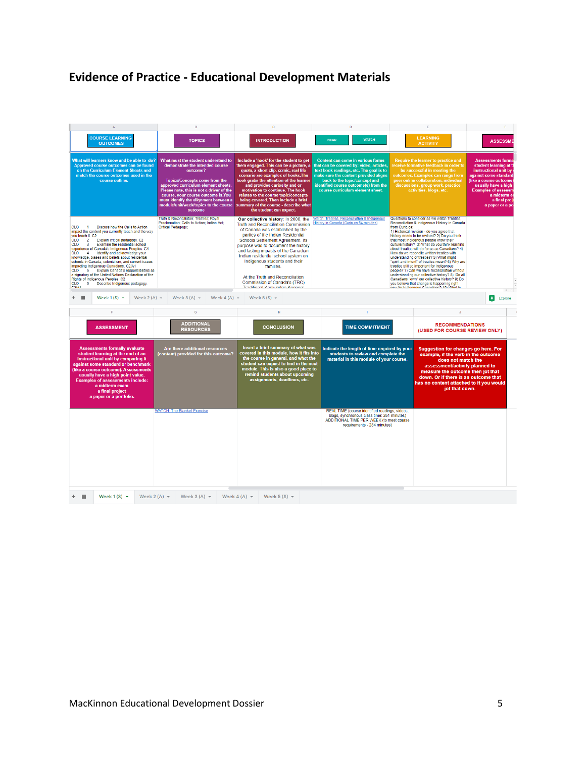# **Evidence of Practice - Educational Development Materials**

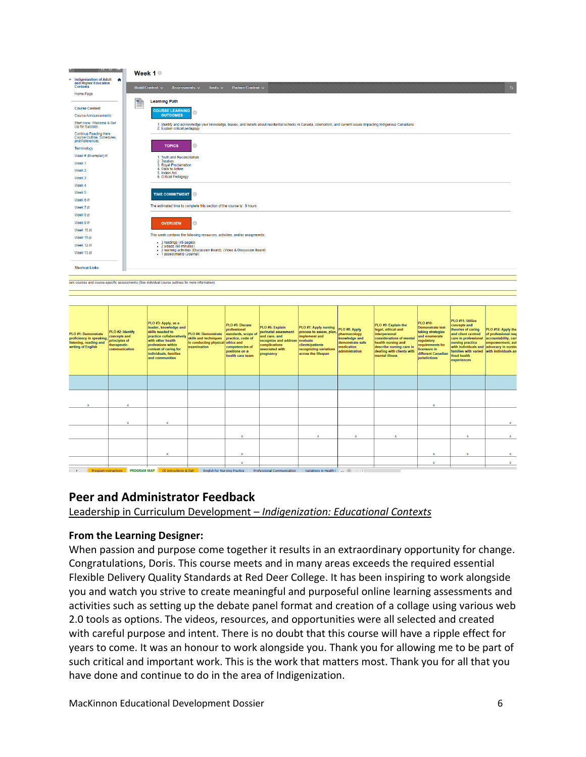

| PLO #1: Demonstrate<br>proficiency in speaking, concepts and<br>listening, reading and<br>writing of English | PLO #2: Identify<br>therapeutic<br>communication | PLO #3: Apply, as a<br>leader, knowledge and<br>skills needed to<br>practice collaboratively<br>with other health<br>professions within<br>context of caring for<br>individuals, families<br>and communities | PLO #4: Demonstrate<br>skills and techniques<br>in conducting physical ethics and<br>examination | PLO #5: Discuss<br>professional<br>standards, scope of<br>practice, code of<br>competencies of<br>positions on a<br>health care team | PLO #6: Explain<br>perinatal assessment<br>and care, and<br>recognize and address<br>complications<br>associated with<br>pregnancy | PLO #7: Apply nursing<br>process to assess, plan<br>implement and<br>evaluate<br>clients/patients<br>recognizing variations<br>across the lifespan | PLO #8: Apply<br>pharmacology<br>knowledge and<br>demonstrate safe<br>medication<br>administration | PLO #9: Explain the<br>legal, ethical and<br>interpersonal<br>considerations of menta<br>health nursing and<br>describe nursing care in<br>dealing with clients with<br>mental illness | <b>PLO #10:</b><br><b>Demonstrate test-</b><br>taking strategies<br>and enumerate<br>regulatory<br>requirements for<br>licensure in<br>different Canadian<br><i>iurisdictions</i> | PLO #11: Utilize<br>concepts and<br>theories of caring<br>and client centred<br>care in professional<br>nursing practice<br>with individuals and advocacy in nursine<br>families with varied with individuals an<br>lived health<br>experiences | PLO #12: Apply the<br>of professional resp<br>accountability, cari<br>empowerment, aut |
|--------------------------------------------------------------------------------------------------------------|--------------------------------------------------|--------------------------------------------------------------------------------------------------------------------------------------------------------------------------------------------------------------|--------------------------------------------------------------------------------------------------|--------------------------------------------------------------------------------------------------------------------------------------|------------------------------------------------------------------------------------------------------------------------------------|----------------------------------------------------------------------------------------------------------------------------------------------------|----------------------------------------------------------------------------------------------------|----------------------------------------------------------------------------------------------------------------------------------------------------------------------------------------|-----------------------------------------------------------------------------------------------------------------------------------------------------------------------------------|-------------------------------------------------------------------------------------------------------------------------------------------------------------------------------------------------------------------------------------------------|----------------------------------------------------------------------------------------|
|                                                                                                              |                                                  |                                                                                                                                                                                                              |                                                                                                  |                                                                                                                                      |                                                                                                                                    |                                                                                                                                                    |                                                                                                    |                                                                                                                                                                                        |                                                                                                                                                                                   |                                                                                                                                                                                                                                                 |                                                                                        |
| $\mathbf{x}$                                                                                                 | $\mathbf{x}$                                     |                                                                                                                                                                                                              |                                                                                                  |                                                                                                                                      |                                                                                                                                    |                                                                                                                                                    |                                                                                                    |                                                                                                                                                                                        | $\boldsymbol{\mathsf{x}}$                                                                                                                                                         |                                                                                                                                                                                                                                                 |                                                                                        |
|                                                                                                              | $\mathbf{x}$                                     | $\boldsymbol{\mathsf{x}}$                                                                                                                                                                                    |                                                                                                  |                                                                                                                                      |                                                                                                                                    |                                                                                                                                                    |                                                                                                    |                                                                                                                                                                                        |                                                                                                                                                                                   |                                                                                                                                                                                                                                                 | $\mathbf{x}$                                                                           |
|                                                                                                              |                                                  |                                                                                                                                                                                                              |                                                                                                  | $\mathbf{x}$                                                                                                                         |                                                                                                                                    | $\mathbf{x}$                                                                                                                                       | $\mathbf{x}$                                                                                       | $\mathbf{x}$                                                                                                                                                                           |                                                                                                                                                                                   | $\mathbf{x}$                                                                                                                                                                                                                                    | $\mathbf{x}$                                                                           |
|                                                                                                              |                                                  | $\mathbf{x}$                                                                                                                                                                                                 |                                                                                                  | $\mathbf{x}$                                                                                                                         |                                                                                                                                    |                                                                                                                                                    |                                                                                                    |                                                                                                                                                                                        | $\mathbf{x}$                                                                                                                                                                      | $\mathbf{x}$                                                                                                                                                                                                                                    | $\mathbf{x}$                                                                           |
|                                                                                                              |                                                  |                                                                                                                                                                                                              |                                                                                                  | ×                                                                                                                                    |                                                                                                                                    |                                                                                                                                                    |                                                                                                    |                                                                                                                                                                                        | $\boldsymbol{\mathsf{x}}$                                                                                                                                                         |                                                                                                                                                                                                                                                 | $\mathbf{x}$                                                                           |
| <b>Program Instructions</b>                                                                                  | <b>PROGRAM MAP</b>                               | CE Instructions & Def.                                                                                                                                                                                       | <b>English for Nursing Practice</b>                                                              |                                                                                                                                      | <b>Professional Communication</b>                                                                                                  | Variations in Health I  (+)                                                                                                                        | $\overline{4}$                                                                                     |                                                                                                                                                                                        |                                                                                                                                                                                   |                                                                                                                                                                                                                                                 |                                                                                        |

# **Peer and Administrator Feedback**

Leadership in Curriculum Development – *Indigenization: Educational Contexts*

# **From the Learning Designer:**

When passion and purpose come together it results in an extraordinary opportunity for change. Congratulations, Doris. This course meets and in many areas exceeds the required essential Flexible Delivery Quality Standards at Red Deer College. It has been inspiring to work alongside you and watch you strive to create meaningful and purposeful online learning assessments and activities such as setting up the debate panel format and creation of a collage using various web 2.0 tools as options. The videos, resources, and opportunities were all selected and created with careful purpose and intent. There is no doubt that this course will have a ripple effect for years to come. It was an honour to work alongside you. Thank you for allowing me to be part of such critical and important work. This is the work that matters most. Thank you for all that you have done and continue to do in the area of Indigenization.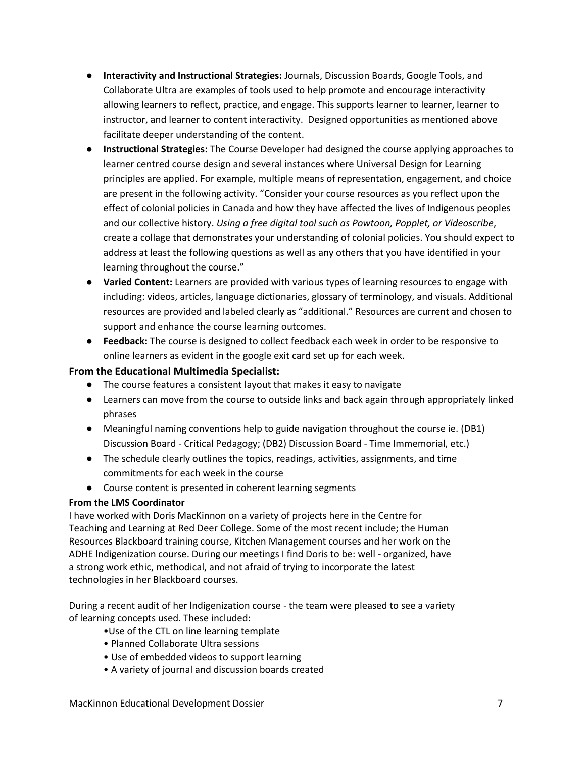- **Interactivity and Instructional Strategies:** Journals, Discussion Boards, Google Tools, and Collaborate Ultra are examples of tools used to help promote and encourage interactivity allowing learners to reflect, practice, and engage. This supports learner to learner, learner to instructor, and learner to content interactivity. Designed opportunities as mentioned above facilitate deeper understanding of the content.
- **Instructional Strategies:** The Course Developer had designed the course applying approaches to learner centred course design and several instances where Universal Design for Learning principles are applied. For example, multiple means of representation, engagement, and choice are present in the following activity. "Consider your course resources as you reflect upon the effect of colonial policies in Canada and how they have affected the lives of Indigenous peoples and our collective history. *Using a free digital tool such as Powtoon, Popplet, or Videoscribe*, create a collage that demonstrates your understanding of colonial policies. You should expect to address at least the following questions as well as any others that you have identified in your learning throughout the course."
- **Varied Content:** Learners are provided with various types of learning resources to engage with including: videos, articles, language dictionaries, glossary of terminology, and visuals. Additional resources are provided and labeled clearly as "additional." Resources are current and chosen to support and enhance the course learning outcomes.
- **Feedback:** The course is designed to collect feedback each week in order to be responsive to online learners as evident in the google exit card set up for each week.

# **From the Educational Multimedia Specialist:**

- The course features a consistent layout that makes it easy to navigate
- Learners can move from the course to outside links and back again through appropriately linked phrases
- Meaningful naming conventions help to guide navigation throughout the course ie. (DB1) Discussion Board - Critical Pedagogy; (DB2) Discussion Board - Time Immemorial, etc.)
- The schedule clearly outlines the topics, readings, activities, assignments, and time commitments for each week in the course
- Course content is presented in coherent learning segments

## **From the LMS Coordinator**

I have worked with Doris MacKinnon on a variety of projects here in the Centre for Teaching and Learning at Red Deer College. Some of the most recent include; the Human Resources Blackboard training course, Kitchen Management courses and her work on the ADHE lndigenization course. During our meetings I find Doris to be: well - organized, have a strong work ethic, methodical, and not afraid of trying to incorporate the latest technologies in her Blackboard courses.

During a recent audit of her lndigenization course - the team were pleased to see a variety of learning concepts used. These included:

- •Use of the CTL on line learning template
- Planned Collaborate Ultra sessions
- Use of embedded videos to support learning
- A variety of journal and discussion boards created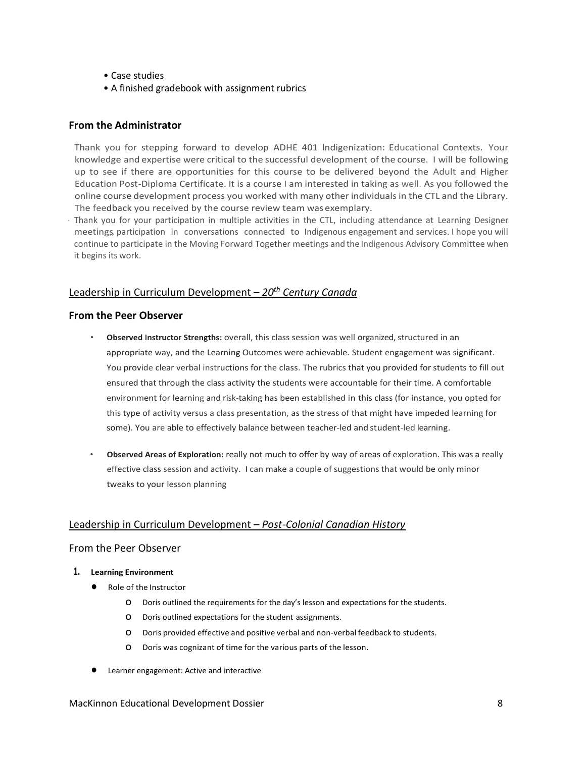- Case studies
- A finished gradebook with assignment rubrics

## **From the Administrator**

Thank you for stepping forward to develop ADHE 401 lndigenization: Educational Contexts. Your knowledge and expertise were critical to the successful development of the course. I will be following up to see if there are opportunities for this course to be delivered beyond the Adult and Higher Education Post-Diploma Certificate. It is a course I am interested in taking as well. As you followed the online course development process you worked with many other individuals in the CTL and the Library. The feedback you received by the course review team was exemplary.

· Thank you for your participation in multiple activities in the CTL, including attendance at Learning Designer meetings, participation in conversations connected to Indigenous engagement and services. I hope you will continue to participate in the Moving Forward Together meetings and the Indigenous Advisory Committee when it begins its work.

## Leadership in Curriculum Development – *20th Century Canada*

## **From the Peer Observer**

- **Observed Instructor Strengths:** overall, this class session was well organized, structured in an appropriate way, and the Learning Outcomes were achievable. Student engagement was significant. You provide clear verbal instructions for the class. The rubrics that you provided for students to fill out ensured that through the class activity the students were accountable for their time. A comfortable environment for learning and risk-taking has been established in this class (for instance, you opted for this type of activity versus a class presentation, as the stress of that might have impeded learning for some). You are able to effectively balance between teacher-led and student-led learning.
- **Observed Areas of Exploration:** really not much to offer by way of areas of exploration. This was a really effective class session and activity. I can make a couple of suggestions that would be only minor tweaks to your lesson planning

## Leadership in Curriculum Development – *Post-Colonial Canadian History*

#### From the Peer Observer

#### **1. Learning Environment**

- **●** Role of the Instructor
	- o Doris outlined the requirements for the day's lesson and expectations for the students.
	- o Doris outlined expectations for the student assignments.
	- o Doris provided effective and positive verbal and non-verbal feedback to students.
	- o Doris was cognizant of time for the various parts of the lesson.
- **●** Learner engagement: Active and interactive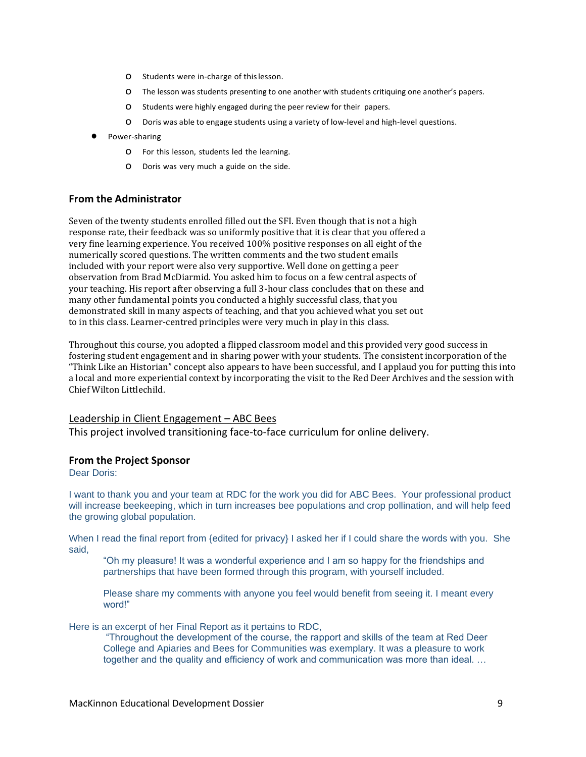- o Students were in-charge of thislesson.
- o The lesson was students presenting to one another with students critiquing one another's papers.
- o Students were highly engaged during the peer review for their papers.
- o Doris was able to engage students using a variety of low-level and high-level questions.
- **●** Power-sharing
	- o For this lesson, students led the learning.
	- o Doris was very much a guide on the side.

#### **From the Administrator**

Seven of the twenty students enrolled filled out the SFI. Even though that is not a high response rate, their feedback was so uniformly positive that it is clear that you offered a very fine learning experience. You received 100% positive responses on all eight of the numerically scored questions. The written comments and the two student emails included with your report were also very supportive. Well done on getting a peer observation from Brad McDiarmid. You asked him to focus on a few central aspects of your teaching. His report after observing a full 3-hour class concludes that on these and many other fundamental points you conducted a highly successful class, that you demonstrated skill in many aspects of teaching, and that you achieved what you set out to in this class. Learner-centred principles were very much in play in this class.

Throughout this course, you adopted a flipped classroom model and this provided very good success in fostering student engagement and in sharing power with your students. The consistent incorporation of the "Think Like an Historian" concept also appears to have been successful, and I applaud you for putting this into a local and more experiential context by incorporating the visit to the Red Deer Archives and the session with Chief Wilton Littlechild.

#### Leadership in Client Engagement – ABC Bees

This project involved transitioning face-to-face curriculum for online delivery.

#### **From the Project Sponsor**

Dear Doris:

I want to thank you and your team at RDC for the work you did for ABC Bees. Your professional product will increase beekeeping, which in turn increases bee populations and crop pollination, and will help feed the growing global population.

When I read the final report from {edited for privacy} I asked her if I could share the words with you. She said,

"Oh my pleasure! It was a wonderful experience and I am so happy for the friendships and partnerships that have been formed through this program, with yourself included.

Please share my comments with anyone you feel would benefit from seeing it. I meant every word!"

Here is an excerpt of her Final Report as it pertains to RDC,

"Throughout the development of the course, the rapport and skills of the team at Red Deer College and Apiaries and Bees for Communities was exemplary. It was a pleasure to work together and the quality and efficiency of work and communication was more than ideal. …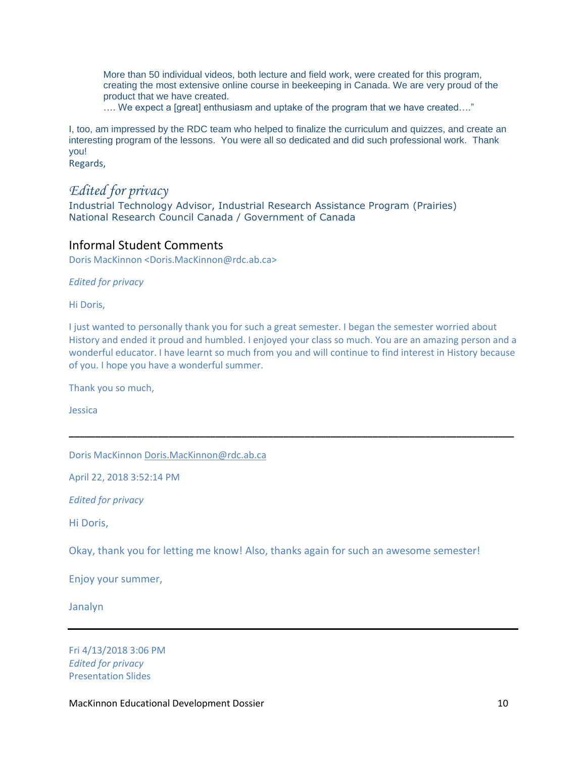More than 50 individual videos, both lecture and field work, were created for this program, creating the most extensive online course in beekeeping in Canada. We are very proud of the product that we have created.

 $\ldots$  We expect a [great] enthusiasm and uptake of the program that we have created...."

I, too, am impressed by the RDC team who helped to finalize the curriculum and quizzes, and create an interesting program of the lessons. You were all so dedicated and did such professional work. Thank you!

Regards,

# *Edited for privacy*

Industrial Technology Advisor, Industrial Research Assistance Program (Prairies) National Research Council Canada / Government of Canada

## Informal Student Comments

Doris MacKinnon <Doris.MacKinnon@rdc.ab.ca>

*Edited for privacy*

Hi Doris,

I just wanted to personally thank you for such a great semester. I began the semester worried about History and ended it proud and humbled. I enjoyed your class so much. You are an amazing person and a wonderful educator. I have learnt so much from you and will continue to find interest in History because of you. I hope you have a wonderful summer.

**\_\_\_\_\_\_\_\_\_\_\_\_\_\_\_\_\_\_\_\_\_\_\_\_\_\_\_\_\_\_\_\_\_\_\_\_\_\_\_\_\_\_\_\_\_\_\_\_\_\_\_\_\_\_\_\_\_\_\_\_\_\_\_\_\_\_\_\_\_\_\_\_\_\_\_\_\_\_\_\_\_\_\_\_\_**

Thank you so much,

Jessica

Doris MacKinnon [Doris.MacKinnon@rdc.ab.ca](mailto:Doris.MacKinnon@rdc.ab.ca)

April 22, 2018 3:52:14 PM

*Edited for privacy*

Hi Doris,

Okay, thank you for letting me know! Also, thanks again for such an awesome semester!

Enjoy your summer,

Janalyn

Fri 4/13/2018 3:06 PM *Edited for privacy* Presentation Slides

MacKinnon Educational Development Dossier 10 and 10 and 10 and 10 and 10 and 10 and 10 and 10 and 10 and 10 and 10 and 10 and 10 and 10 and 10 and 10 and 10 and 10 and 10 and 10 and 10 and 10 and 10 and 10 and 10 and 10 an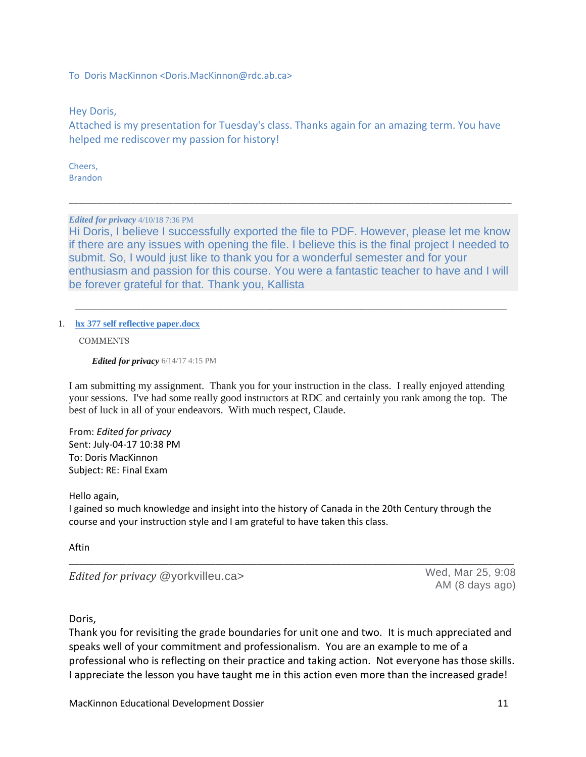To Doris MacKinnon <Doris.MacKinnon@rdc.ab.ca>

Hey Doris,

Attached is my presentation for Tuesday's class. Thanks again for an amazing term. You have helped me rediscover my passion for history!

Cheers, Brandon

*Edited for privacy* 4/10/18 7:36 PM

Hi Doris, I believe I successfully exported the file to PDF. However, please let me know if there are any issues with opening the file. I believe this is the final project I needed to submit. So, I would just like to thank you for a wonderful semester and for your enthusiasm and passion for this course. You were a fantastic teacher to have and I will be forever grateful for that. Thank you, Kallista

\_\_\_\_\_\_\_\_\_\_\_\_\_\_\_\_\_\_\_\_\_\_\_\_\_\_\_\_\_\_\_\_\_\_\_\_\_\_\_\_\_\_\_\_\_\_\_\_\_\_\_\_\_\_\_\_\_\_\_\_\_\_\_\_\_\_\_\_\_\_\_\_\_\_\_\_\_\_\_\_\_\_\_\_\_\_\_\_\_\_\_\_\_\_\_

\_\_\_\_\_\_\_\_\_\_\_\_\_\_\_\_\_\_\_\_\_\_\_\_\_\_\_\_\_\_\_\_\_\_\_\_\_\_\_\_\_\_\_\_\_\_\_\_\_\_\_\_\_\_\_\_\_\_\_\_\_\_\_\_\_\_\_\_\_\_\_\_\_\_\_\_\_\_\_\_\_\_\_\_\_\_\_\_\_\_\_\_\_

1. **hx 377 self reflective [paper.docx](https://rdc-bb.blackboard.com/webapps/assignment/gradeAssignmentRedirector?outcomeDefinitionId=_267634_1¤tAttemptIndex=10&numAttempts=15&anonymousMode=false&sequenceId=_21769_1_1&course_id=_21769_1&source=cp_gradebook_needs_grading&viewInfo=Needs+Grading&attempt_id=_2644454_1&courseMembershipId=_528805_1&cancelGradeUrl=%2Fwebapps%2Fgradebook%2Fdo%2Finstructor%2FviewNeedsGrading%3Fcourse_id%3D_21769_1&submitGradeUrl=%2Fwebapps%2Fgradebook%2Fdo%2Finstructor%2FperformGrading%3Fcourse_id%3D_21769_1%26cmd%3Dnext%26sequenceId%3D_21769_1_1)**

**COMMENTS** 

*Edited for privacy* 6/14/17 4:15 PM

I am submitting my assignment. Thank you for your instruction in the class. I really enjoyed attending your sessions. I've had some really good instructors at RDC and certainly you rank among the top. The best of luck in all of your endeavors. With much respect, Claude.

From: *Edited for privacy* Sent: July-04-17 10:38 PM To: Doris MacKinnon Subject: RE: Final Exam

Hello again,

I gained so much knowledge and insight into the history of Canada in the 20th Century through the course and your instruction style and I am grateful to have taken this class.

Aftin

*Edited for privacy* @yorkvilleu.ca> Wed, Mar 25, 9:08

AM (8 days ago)

Doris,

Thank you for revisiting the grade boundaries for unit one and two. It is much appreciated and speaks well of your commitment and professionalism. You are an example to me of a professional who is reflecting on their practice and taking action. Not everyone has those skills. I appreciate the lesson you have taught me in this action even more than the increased grade!

\_\_\_\_\_\_\_\_\_\_\_\_\_\_\_\_\_\_\_\_\_\_\_\_\_\_\_\_\_\_\_\_\_\_\_\_\_\_\_\_\_\_\_\_\_\_\_\_\_\_\_\_\_\_\_\_\_\_\_\_\_\_\_\_\_\_\_\_\_\_\_\_\_\_\_\_\_\_\_\_\_\_\_\_\_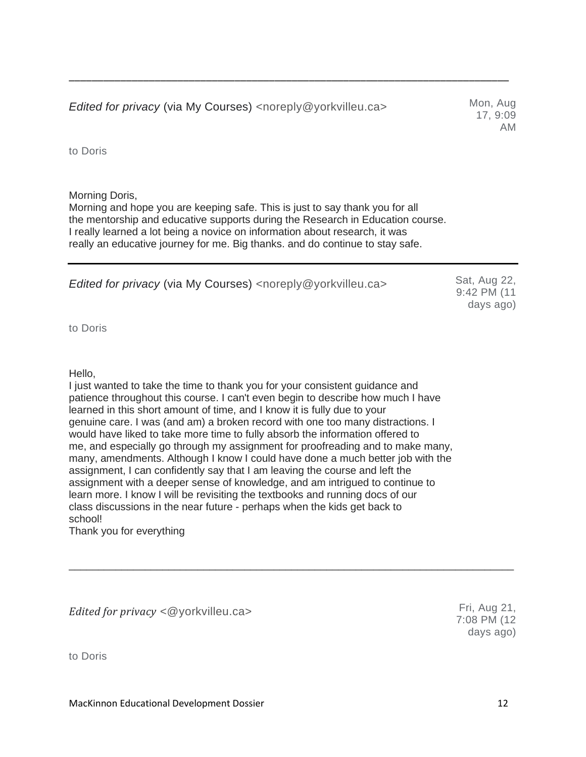to Doris

Morning Doris,

Morning and hope you are keeping safe. This is just to say thank you for all the mentorship and educative supports during the Research in Education course. I really learned a lot being a novice on information about research, it was really an educative journey for me. Big thanks. and do continue to stay safe.

| Edited for privacy (via My Courses) <noreply@yorkvilleu.ca></noreply@yorkvilleu.ca> | Sat, Aug 22,<br>9:42 PM (11<br>days ago) |
|-------------------------------------------------------------------------------------|------------------------------------------|
|                                                                                     |                                          |

\_\_\_\_\_\_\_\_\_\_\_\_\_\_\_\_\_\_\_\_\_\_\_\_\_\_\_\_\_\_\_\_\_\_\_\_\_\_\_\_\_\_\_\_\_\_\_\_\_\_\_\_\_\_\_\_\_\_\_\_\_\_\_\_\_\_\_\_\_\_\_\_\_\_\_\_\_

to Doris

Hello,

to Doris

I just wanted to take the time to thank you for your consistent guidance and patience throughout this course. I can't even begin to describe how much I have learned in this short amount of time, and I know it is fully due to your genuine care. I was (and am) a broken record with one too many distractions. I would have liked to take more time to fully absorb the information offered to me, and especially go through my assignment for proofreading and to make many, many, amendments. Although I know I could have done a much better job with the assignment, I can confidently say that I am leaving the course and left the assignment with a deeper sense of knowledge, and am intrigued to continue to learn more. I know I will be revisiting the textbooks and running docs of our class discussions in the near future - perhaps when the kids get back to school!

\_\_\_\_\_\_\_\_\_\_\_\_\_\_\_\_\_\_\_\_\_\_\_\_\_\_\_\_\_\_\_\_\_\_\_\_\_\_\_\_\_\_\_\_\_\_\_\_\_\_\_\_\_\_\_\_\_\_\_\_\_\_\_\_\_\_\_\_\_\_\_\_\_\_\_\_

Thank you for everything

*Edited for privacy* < @yorkvilleu.ca> Fri, Aug 21,

7:08 PM (12 days ago)

*Edited for privacy* (via My Courses) <noreply@yorkvilleu.ca> Mon, Aug 17, 9:09 AM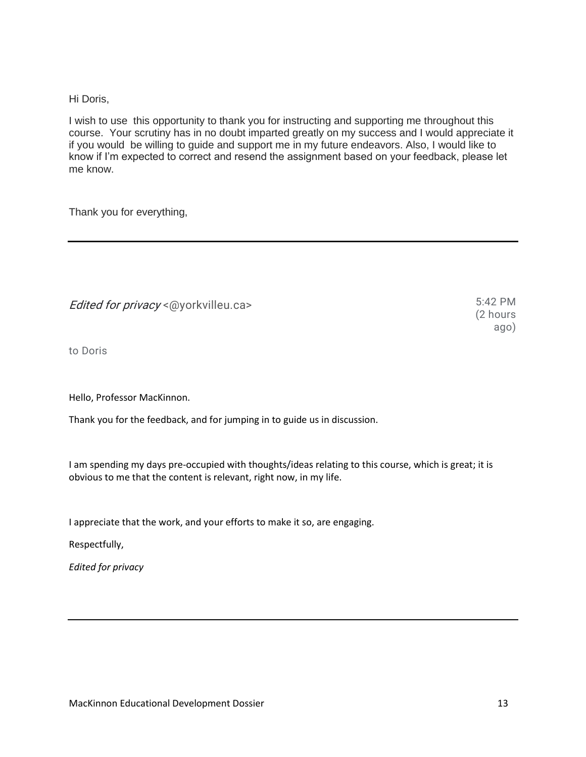## Hi Doris,

I wish to use this opportunity to thank you for instructing and supporting me throughout this course. Your scrutiny has in no doubt imparted greatly on my success and I would appreciate it if you would be willing to guide and support me in my future endeavors. Also, I would like to know if I'm expected to correct and resend the assignment based on your feedback, please let me know.

Thank you for everything,

| <i>Edited for privacy</i> <@yorkvilleu.ca> | 5:42 PM<br>(2 hours)<br>ago) |
|--------------------------------------------|------------------------------|
|                                            |                              |

to Doris

Hello, Professor MacKinnon.

Thank you for the feedback, and for jumping in to guide us in discussion.

I am spending my days pre-occupied with thoughts/ideas relating to this course, which is great; it is obvious to me that the content is relevant, right now, in my life.

I appreciate that the work, and your efforts to make it so, are engaging.

Respectfully,

*Edited for privacy*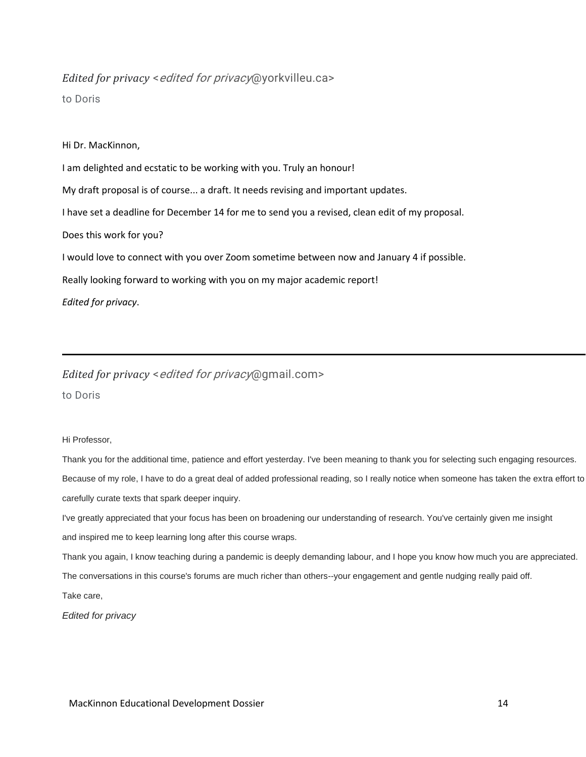## *Edited for privacy* <edited for privacy@yorkvilleu.ca>

to Doris

Hi Dr. MacKinnon, I am delighted and ecstatic to be working with you. Truly an honour! My draft proposal is of course... a draft. It needs revising and important updates. I have set a deadline for December 14 for me to send you a revised, clean edit of my proposal. Does this work for you? I would love to connect with you over Zoom sometime between now and January 4 if possible. Really looking forward to working with you on my major academic report! *Edited for privacy*.

*Edited for privacy* <edited for privacy@gmail.com>

to Doris

#### Hi Professor,

Thank you for the additional time, patience and effort yesterday. I've been meaning to thank you for selecting such engaging resources. Because of my role, I have to do a great deal of added professional reading, so I really notice when someone has taken the extra effort to carefully curate texts that spark deeper inquiry.

I've greatly appreciated that your focus has been on broadening our understanding of research. You've certainly given me insight and inspired me to keep learning long after this course wraps.

Thank you again, I know teaching during a pandemic is deeply demanding labour, and I hope you know how much you are appreciated. The conversations in this course's forums are much richer than others--your engagement and gentle nudging really paid off.

Take care,

*Edited for privacy*